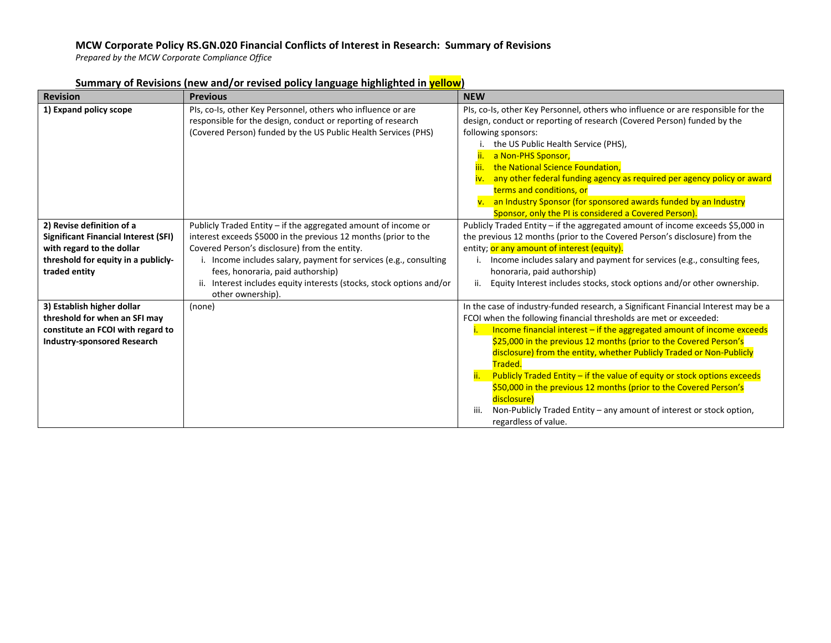# **MCW Corporate Policy RS.GN.020 Financial Conflicts of Interest in Research: Summary of Revisions**

*Prepared by the MCW Corporate Compliance Office*

| <b>Revision</b>                                                                                                                                               | <b>Previous</b>                                                                                                                                                                                                                                                                                                                                                                       | <b>NEW</b>                                                                                                                                                                                                                                                                                                                                                                                                                                                                                                                                                                                                                                                          |
|---------------------------------------------------------------------------------------------------------------------------------------------------------------|---------------------------------------------------------------------------------------------------------------------------------------------------------------------------------------------------------------------------------------------------------------------------------------------------------------------------------------------------------------------------------------|---------------------------------------------------------------------------------------------------------------------------------------------------------------------------------------------------------------------------------------------------------------------------------------------------------------------------------------------------------------------------------------------------------------------------------------------------------------------------------------------------------------------------------------------------------------------------------------------------------------------------------------------------------------------|
| 1) Expand policy scope                                                                                                                                        | Pls, co-Is, other Key Personnel, others who influence or are<br>responsible for the design, conduct or reporting of research<br>(Covered Person) funded by the US Public Health Services (PHS)                                                                                                                                                                                        | PIs, co-Is, other Key Personnel, others who influence or are responsible for the<br>design, conduct or reporting of research (Covered Person) funded by the<br>following sponsors:<br>the US Public Health Service (PHS),<br>a Non-PHS Sponsor,<br>ii.<br>the National Science Foundation,<br>iii.<br>any other federal funding agency as required per agency policy or award<br>iv.<br>terms and conditions, or<br>v. an Industry Sponsor (for sponsored awards funded by an Industry<br>Sponsor, only the PI is considered a Covered Person).                                                                                                                     |
| 2) Revise definition of a<br><b>Significant Financial Interest (SFI)</b><br>with regard to the dollar<br>threshold for equity in a publicly-<br>traded entity | Publicly Traded Entity - if the aggregated amount of income or<br>interest exceeds \$5000 in the previous 12 months (prior to the<br>Covered Person's disclosure) from the entity.<br>i. Income includes salary, payment for services (e.g., consulting<br>fees, honoraria, paid authorship)<br>Interest includes equity interests (stocks, stock options and/or<br>other ownership). | Publicly Traded Entity - if the aggregated amount of income exceeds \$5,000 in<br>the previous 12 months (prior to the Covered Person's disclosure) from the<br>entity; or any amount of interest (equity).<br>Income includes salary and payment for services (e.g., consulting fees,<br>honoraria, paid authorship)<br>Equity Interest includes stocks, stock options and/or other ownership.<br>ii.                                                                                                                                                                                                                                                              |
| 3) Establish higher dollar<br>threshold for when an SFI may<br>constitute an FCOI with regard to<br><b>Industry-sponsored Research</b>                        | (none)                                                                                                                                                                                                                                                                                                                                                                                | In the case of industry-funded research, a Significant Financial Interest may be a<br>FCOI when the following financial thresholds are met or exceeded:<br>Income financial interest $-$ if the aggregated amount of income exceeds<br>\$25,000 in the previous 12 months (prior to the Covered Person's<br>disclosure) from the entity, whether Publicly Traded or Non-Publicly<br>Traded.<br>Publicly Traded Entity - if the value of equity or stock options exceeds<br>\$50,000 in the previous 12 months (prior to the Covered Person's<br>disclosure)<br>Non-Publicly Traded Entity – any amount of interest or stock option,<br>iii.<br>regardless of value. |

## **Summary of Revisions (new and/or revised policy language highlighted in yellow)**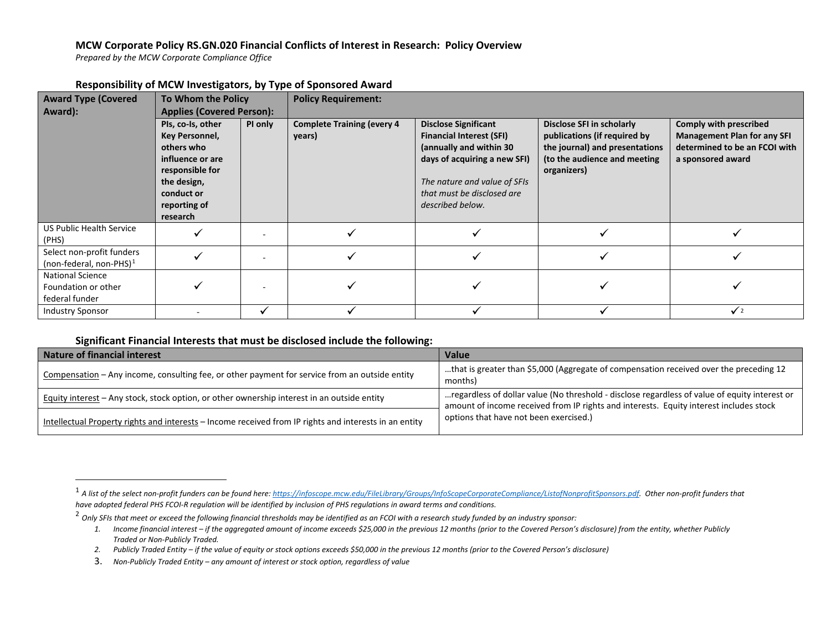### <span id="page-1-1"></span><span id="page-1-0"></span>**MCW Corporate Policy RS.GN.020 Financial Conflicts of Interest in Research: Policy Overview**

*Prepared by the MCW Corporate Compliance Office*

| <b>Award Type (Covered</b>                                       | .<br>To Whom the Policy                                                                                                                           |         | <b>Policy Requirement:</b>                  |                                                                                                                                                                                                             |                                                                                                                                            |                                                                                                                    |  |
|------------------------------------------------------------------|---------------------------------------------------------------------------------------------------------------------------------------------------|---------|---------------------------------------------|-------------------------------------------------------------------------------------------------------------------------------------------------------------------------------------------------------------|--------------------------------------------------------------------------------------------------------------------------------------------|--------------------------------------------------------------------------------------------------------------------|--|
| Award):                                                          | <b>Applies (Covered Person):</b>                                                                                                                  |         |                                             |                                                                                                                                                                                                             |                                                                                                                                            |                                                                                                                    |  |
|                                                                  | Pls, co-Is, other<br>Key Personnel,<br>others who<br>influence or are<br>responsible for<br>the design,<br>conduct or<br>reporting of<br>research | PI only | <b>Complete Training (every 4</b><br>years) | <b>Disclose Significant</b><br><b>Financial Interest (SFI)</b><br>(annually and within 30<br>days of acquiring a new SFI)<br>The nature and value of SFIs<br>that must be disclosed are<br>described below. | Disclose SFI in scholarly<br>publications (if required by<br>the journal) and presentations<br>(to the audience and meeting<br>organizers) | Comply with prescribed<br><b>Management Plan for any SFI</b><br>determined to be an FCOI with<br>a sponsored award |  |
| <b>US Public Health Service</b><br>(PHS)                         |                                                                                                                                                   |         |                                             |                                                                                                                                                                                                             |                                                                                                                                            |                                                                                                                    |  |
| Select non-profit funders<br>(non-federal, non-PHS) $1$          |                                                                                                                                                   |         |                                             |                                                                                                                                                                                                             |                                                                                                                                            |                                                                                                                    |  |
| <b>National Science</b><br>Foundation or other<br>federal funder |                                                                                                                                                   |         |                                             |                                                                                                                                                                                                             |                                                                                                                                            |                                                                                                                    |  |
| <b>Industry Sponsor</b>                                          |                                                                                                                                                   |         |                                             |                                                                                                                                                                                                             |                                                                                                                                            | $\sqrt{2}$                                                                                                         |  |

### **Responsibility of MCW Investigators, by Type of Sponsored Award**

#### **Significant Financial Interests that must be disclosed include the following:**

| <b>Nature of financial interest</b>                                                                    | <b>Value</b>                                                                                                                                                                            |  |
|--------------------------------------------------------------------------------------------------------|-----------------------------------------------------------------------------------------------------------------------------------------------------------------------------------------|--|
| Compensation - Any income, consulting fee, or other payment for service from an outside entity         | that is greater than \$5,000 (Aggregate of compensation received over the preceding 12<br>months)                                                                                       |  |
| Equity interest - Any stock, stock option, or other ownership interest in an outside entity            | regardless of dollar value (No threshold - disclose regardless of value of equity interest or<br>amount of income received from IP rights and interests. Equity interest includes stock |  |
| Intellectual Property rights and interests – Income received from IP rights and interests in an entity | options that have not been exercised.)                                                                                                                                                  |  |

<sup>1</sup> *A list of the select non-profit funders can be found here[: https://infoscope.mcw.edu/FileLibrary/Groups/InfoScopeCorporateCompliance/ListofNonprofitSponsors.pdf.](https://infoscope.mcw.edu/FileLibrary/Groups/InfoScopeCorporateCompliance/ListofNonprofitSponsors.pdf) Other non-profit funders that have adopted federal PHS FCOI-R regulation will be identified by inclusion of PHS regulations in award terms and conditions.*

<sup>2</sup> *Only SFIs that meet or exceed the following financial thresholds may be identified as an FCOI with a research study funded by an industry sponsor:*

*<sup>1.</sup> Income financial interest – if the aggregated amount of income exceeds \$25,000 in the previous 12 months (prior to the Covered Person's disclosure) from the entity, whether Publicly Traded or Non-Publicly Traded.*

*<sup>2.</sup> Publicly Traded Entity – if the value of equity or stock options exceeds \$50,000 in the previous 12 months (prior to the Covered Person's disclosure)*

<sup>3.</sup> *Non-Publicly Traded Entity – any amount of interest or stock option, regardless of value*